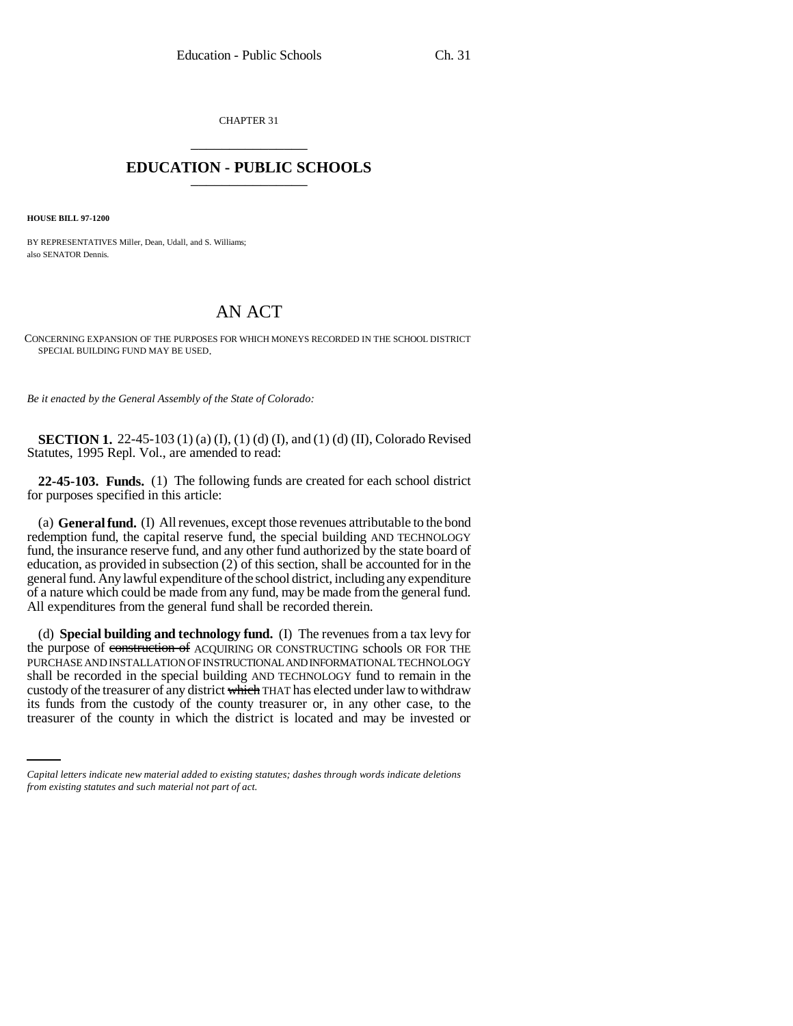CHAPTER 31 \_\_\_\_\_\_\_\_\_\_\_\_\_\_\_

## **EDUCATION - PUBLIC SCHOOLS** \_\_\_\_\_\_\_\_\_\_\_\_\_\_\_

**HOUSE BILL 97-1200**

BY REPRESENTATIVES Miller, Dean, Udall, and S. Williams; also SENATOR Dennis.

## AN ACT

CONCERNING EXPANSION OF THE PURPOSES FOR WHICH MONEYS RECORDED IN THE SCHOOL DISTRICT SPECIAL BUILDING FUND MAY BE USED.

*Be it enacted by the General Assembly of the State of Colorado:*

**SECTION 1.** 22-45-103 (1) (a) (I), (1) (d) (I), and (1) (d) (II), Colorado Revised Statutes, 1995 Repl. Vol., are amended to read:

**22-45-103. Funds.** (1) The following funds are created for each school district for purposes specified in this article:

(a) **General fund.** (I) All revenues, except those revenues attributable to the bond redemption fund, the capital reserve fund, the special building AND TECHNOLOGY fund, the insurance reserve fund, and any other fund authorized by the state board of education, as provided in subsection (2) of this section, shall be accounted for in the general fund. Any lawful expenditure of the school district, including any expenditure of a nature which could be made from any fund, may be made from the general fund. All expenditures from the general fund shall be recorded therein.

custody of the treasurer of any district which THAT has elected under law to withdraw (d) **Special building and technology fund.** (I) The revenues from a tax levy for the purpose of construction of ACQUIRING OR CONSTRUCTING schools OR FOR THE PURCHASE AND INSTALLATION OF INSTRUCTIONAL AND INFORMATIONAL TECHNOLOGY shall be recorded in the special building AND TECHNOLOGY fund to remain in the its funds from the custody of the county treasurer or, in any other case, to the treasurer of the county in which the district is located and may be invested or

*Capital letters indicate new material added to existing statutes; dashes through words indicate deletions from existing statutes and such material not part of act.*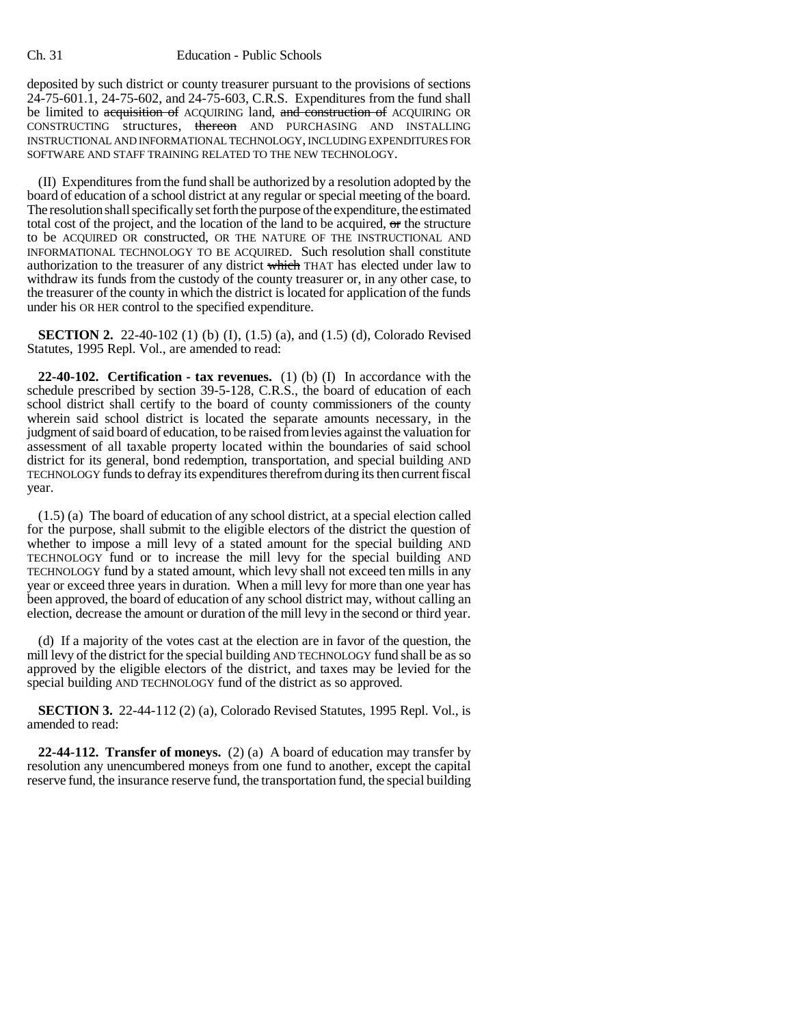deposited by such district or county treasurer pursuant to the provisions of sections 24-75-601.1, 24-75-602, and 24-75-603, C.R.S. Expenditures from the fund shall be limited to acquisition of ACQUIRING land, and construction of ACQUIRING OR CONSTRUCTING structures, thereon AND PURCHASING AND INSTALLING INSTRUCTIONAL AND INFORMATIONAL TECHNOLOGY, INCLUDING EXPENDITURES FOR SOFTWARE AND STAFF TRAINING RELATED TO THE NEW TECHNOLOGY.

(II) Expenditures from the fund shall be authorized by a resolution adopted by the board of education of a school district at any regular or special meeting of the board. The resolution shall specifically set forth the purpose of the expenditure, the estimated total cost of the project, and the location of the land to be acquired, or the structure to be ACQUIRED OR constructed, OR THE NATURE OF THE INSTRUCTIONAL AND INFORMATIONAL TECHNOLOGY TO BE ACQUIRED. Such resolution shall constitute authorization to the treasurer of any district which THAT has elected under law to withdraw its funds from the custody of the county treasurer or, in any other case, to the treasurer of the county in which the district is located for application of the funds under his OR HER control to the specified expenditure.

**SECTION 2.** 22-40-102 (1) (b) (I), (1.5) (a), and (1.5) (d), Colorado Revised Statutes, 1995 Repl. Vol., are amended to read:

**22-40-102. Certification - tax revenues.** (1) (b) (I) In accordance with the schedule prescribed by section 39-5-128, C.R.S., the board of education of each school district shall certify to the board of county commissioners of the county wherein said school district is located the separate amounts necessary, in the judgment of said board of education, to be raised from levies against the valuation for assessment of all taxable property located within the boundaries of said school district for its general, bond redemption, transportation, and special building AND TECHNOLOGY funds to defray its expenditures therefrom during its then current fiscal year.

(1.5) (a) The board of education of any school district, at a special election called for the purpose, shall submit to the eligible electors of the district the question of whether to impose a mill levy of a stated amount for the special building AND TECHNOLOGY fund or to increase the mill levy for the special building AND TECHNOLOGY fund by a stated amount, which levy shall not exceed ten mills in any year or exceed three years in duration. When a mill levy for more than one year has been approved, the board of education of any school district may, without calling an election, decrease the amount or duration of the mill levy in the second or third year.

(d) If a majority of the votes cast at the election are in favor of the question, the mill levy of the district for the special building AND TECHNOLOGY fund shall be as so approved by the eligible electors of the district, and taxes may be levied for the special building AND TECHNOLOGY fund of the district as so approved.

**SECTION 3.** 22-44-112 (2) (a), Colorado Revised Statutes, 1995 Repl. Vol., is amended to read:

**22-44-112. Transfer of moneys.** (2) (a) A board of education may transfer by resolution any unencumbered moneys from one fund to another, except the capital reserve fund, the insurance reserve fund, the transportation fund, the special building